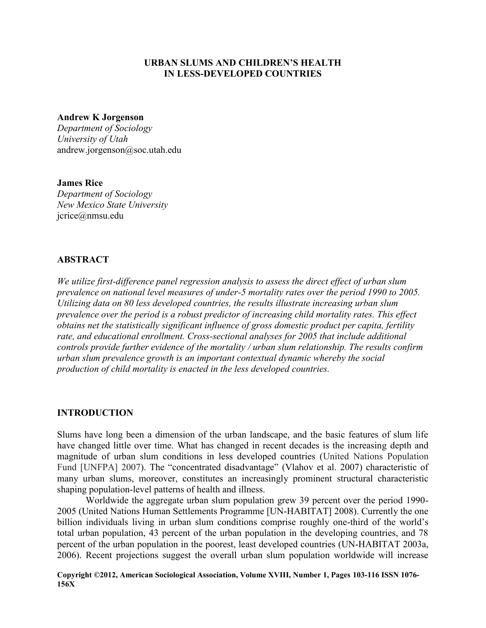## **URBAN SLUMS AND CHILDREN'S HEALTH IN LESS-DEVELOPED COUNTRIES**

#### **Andrew K Jorgenson**

*Department of Sociology University of Utah*  andrew.jorgenson@soc.utah.edu

### **James Rice**

*Department of Sociology New Mexico State University*  jcrice@nmsu.edu

# **ABSTRACT**

*We utilize first-difference panel regression analysis to assess the direct effect of urban slum prevalence on national level measures of under-5 mortality rates over the period 1990 to 2005. Utilizing data on 80 less developed countries, the results illustrate increasing urban slum prevalence over the period is a robust predictor of increasing child mortality rates. This effect obtains net the statistically significant influence of gross domestic product per capita, fertility rate, and educational enrollment. Cross-sectional analyses for 2005 that include additional controls provide further evidence of the mortality / urban slum relationship. The results confirm urban slum prevalence growth is an important contextual dynamic whereby the social production of child mortality is enacted in the less developed countries.* 

### **INTRODUCTION**

Slums have long been a dimension of the urban landscape, and the basic features of slum life have changed little over time. What has changed in recent decades is the increasing depth and magnitude of urban slum conditions in less developed countries (United Nations Population Fund [UNFPA] 2007). The "concentrated disadvantage" (Vlahov et al. 2007) characteristic of many urban slums, moreover, constitutes an increasingly prominent structural characteristic shaping population-level patterns of health and illness.

Worldwide the aggregate urban slum population grew 39 percent over the period 1990- 2005 (United Nations Human Settlements Programme [UN-HABITAT] 2008). Currently the one billion individuals living in urban slum conditions comprise roughly one-third of the world's total urban population, 43 percent of the urban population in the developing countries, and 78 percent of the urban population in the poorest, least developed countries (UN-HABITAT 2003a, 2006). Recent projections suggest the overall urban slum population worldwide will increase

**Copyright ©2012, American Sociological Association, Volume XVIII, Number 1, Pages 103-116 ISSN 1076- 156X**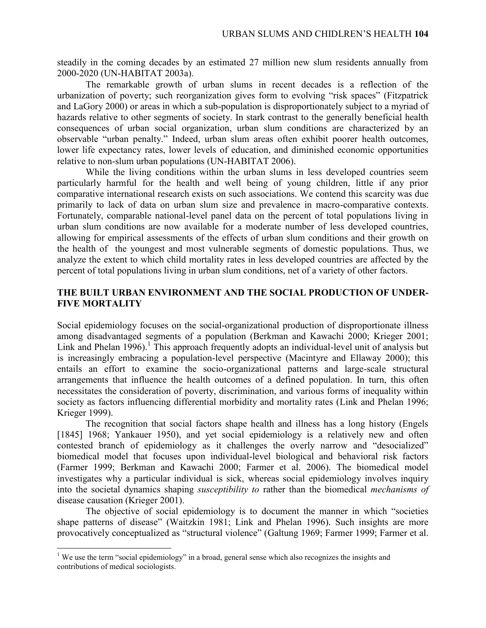steadily in the coming decades by an estimated 27 million new slum residents annually from 2000-2020 (UN-HABITAT 2003a).

The remarkable growth of urban slums in recent decades is a reflection of the urbanization of poverty; such reorganization gives form to evolving "risk spaces" (Fitzpatrick and LaGory 2000) or areas in which a sub-population is disproportionately subject to a myriad of hazards relative to other segments of society. In stark contrast to the generally beneficial health consequences of urban social organization, urban slum conditions are characterized by an observable "urban penalty." Indeed, urban slum areas often exhibit poorer health outcomes, lower life expectancy rates, lower levels of education, and diminished economic opportunities relative to non-slum urban populations (UN-HABITAT 2006).

While the living conditions within the urban slums in less developed countries seem particularly harmful for the health and well being of young children, little if any prior comparative international research exists on such associations. We contend this scarcity was due primarily to lack of data on urban slum size and prevalence in macro-comparative contexts. Fortunately, comparable national-level panel data on the percent of total populations living in urban slum conditions are now available for a moderate number of less developed countries, allowing for empirical assessments of the effects of urban slum conditions and their growth on the health of the youngest and most vulnerable segments of domestic populations. Thus, we analyze the extent to which child mortality rates in less developed countries are affected by the percent of total populations living in urban slum conditions, net of a variety of other factors.

# **THE BUILT URBAN ENVIRONMENT AND THE SOCIAL PRODUCTION OF UNDER-FIVE MORTALITY**

Social epidemiology focuses on the social-organizational production of disproportionate illness among disadvantaged segments of a population (Berkman and Kawachi 2000; Krieger 2001; Link and Phelan 1996).<sup>1</sup> This approach frequently adopts an individual-level unit of analysis but is increasingly embracing a population-level perspective (Macintyre and Ellaway 2000); this entails an effort to examine the socio-organizational patterns and large-scale structural arrangements that influence the health outcomes of a defined population. In turn, this often necessitates the consideration of poverty, discrimination, and various forms of inequality within society as factors influencing differential morbidity and mortality rates (Link and Phelan 1996; Krieger 1999).

The recognition that social factors shape health and illness has a long history (Engels [1845] 1968; Yankauer 1950), and yet social epidemiology is a relatively new and often contested branch of epidemiology as it challenges the overly narrow and "desocialized" biomedical model that focuses upon individual-level biological and behavioral risk factors (Farmer 1999; Berkman and Kawachi 2000; Farmer et al. 2006). The biomedical model investigates why a particular individual is sick, whereas social epidemiology involves inquiry into the societal dynamics shaping *susceptibility to* rather than the biomedical *mechanisms of* disease causation (Krieger 2001).

The objective of social epidemiology is to document the manner in which "societies shape patterns of disease" (Waitzkin 1981; Link and Phelan 1996). Such insights are more provocatively conceptualized as "structural violence" (Galtung 1969; Farmer 1999; Farmer et al.

<sup>&</sup>lt;sup>1</sup> We use the term "social epidemiology" in a broad, general sense which also recognizes the insights and contributions of medical sociologists.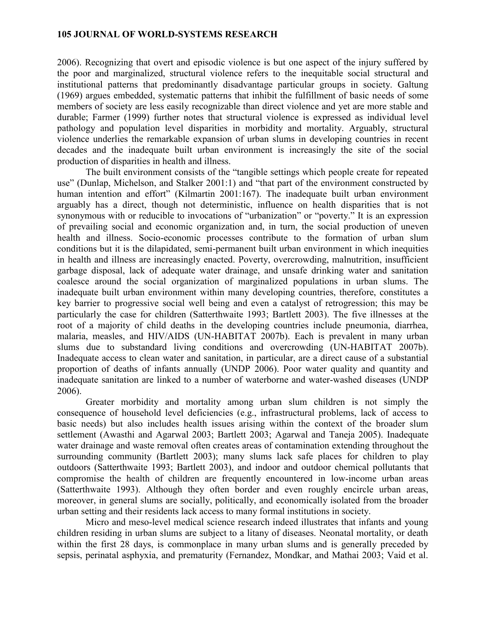2006). Recognizing that overt and episodic violence is but one aspect of the injury suffered by the poor and marginalized, structural violence refers to the inequitable social structural and institutional patterns that predominantly disadvantage particular groups in society. Galtung (1969) argues embedded, systematic patterns that inhibit the fulfillment of basic needs of some members of society are less easily recognizable than direct violence and yet are more stable and durable; Farmer (1999) further notes that structural violence is expressed as individual level pathology and population level disparities in morbidity and mortality. Arguably, structural violence underlies the remarkable expansion of urban slums in developing countries in recent decades and the inadequate built urban environment is increasingly the site of the social production of disparities in health and illness.

The built environment consists of the "tangible settings which people create for repeated use" (Dunlap, Michelson, and Stalker 2001:1) and "that part of the environment constructed by human intention and effort" (Kilmartin 2001:167). The inadequate built urban environment arguably has a direct, though not deterministic, influence on health disparities that is not synonymous with or reducible to invocations of "urbanization" or "poverty." It is an expression of prevailing social and economic organization and, in turn, the social production of uneven health and illness. Socio-economic processes contribute to the formation of urban slum conditions but it is the dilapidated, semi-permanent built urban environment in which inequities in health and illness are increasingly enacted. Poverty, overcrowding, malnutrition, insufficient garbage disposal, lack of adequate water drainage, and unsafe drinking water and sanitation coalesce around the social organization of marginalized populations in urban slums. The inadequate built urban environment within many developing countries, therefore, constitutes a key barrier to progressive social well being and even a catalyst of retrogression; this may be particularly the case for children (Satterthwaite 1993; Bartlett 2003). The five illnesses at the root of a majority of child deaths in the developing countries include pneumonia, diarrhea, malaria, measles, and HIV/AIDS (UN-HABITAT 2007b). Each is prevalent in many urban slums due to substandard living conditions and overcrowding (UN-HABITAT 2007b). Inadequate access to clean water and sanitation, in particular, are a direct cause of a substantial proportion of deaths of infants annually (UNDP 2006). Poor water quality and quantity and inadequate sanitation are linked to a number of waterborne and water-washed diseases (UNDP 2006).

 Greater morbidity and mortality among urban slum children is not simply the consequence of household level deficiencies (e.g., infrastructural problems, lack of access to basic needs) but also includes health issues arising within the context of the broader slum settlement (Awasthi and Agarwal 2003; Bartlett 2003; Agarwal and Taneja 2005). Inadequate water drainage and waste removal often creates areas of contamination extending throughout the surrounding community (Bartlett 2003); many slums lack safe places for children to play outdoors (Satterthwaite 1993; Bartlett 2003), and indoor and outdoor chemical pollutants that compromise the health of children are frequently encountered in low-income urban areas (Satterthwaite 1993). Although they often border and even roughly encircle urban areas, moreover, in general slums are socially, politically, and economically isolated from the broader urban setting and their residents lack access to many formal institutions in society.

 Micro and meso-level medical science research indeed illustrates that infants and young children residing in urban slums are subject to a litany of diseases. Neonatal mortality, or death within the first 28 days, is commonplace in many urban slums and is generally preceded by sepsis, perinatal asphyxia, and prematurity (Fernandez, Mondkar, and Mathai 2003; Vaid et al.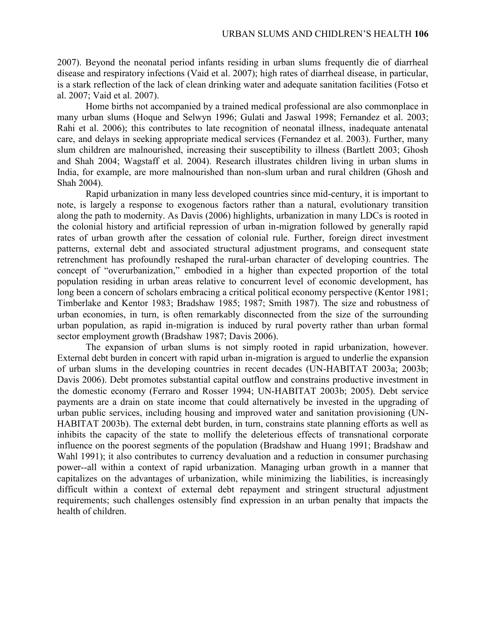2007). Beyond the neonatal period infants residing in urban slums frequently die of diarrheal disease and respiratory infections (Vaid et al. 2007); high rates of diarrheal disease, in particular, is a stark reflection of the lack of clean drinking water and adequate sanitation facilities (Fotso et al. 2007; Vaid et al. 2007).

Home births not accompanied by a trained medical professional are also commonplace in many urban slums (Hoque and Selwyn 1996; Gulati and Jaswal 1998; Fernandez et al. 2003; Rahi et al. 2006); this contributes to late recognition of neonatal illness, inadequate antenatal care, and delays in seeking appropriate medical services (Fernandez et al. 2003). Further, many slum children are malnourished, increasing their susceptibility to illness (Bartlett 2003; Ghosh and Shah 2004; Wagstaff et al. 2004). Research illustrates children living in urban slums in India, for example, are more malnourished than non-slum urban and rural children (Ghosh and Shah 2004).

 Rapid urbanization in many less developed countries since mid-century, it is important to note, is largely a response to exogenous factors rather than a natural, evolutionary transition along the path to modernity. As Davis (2006) highlights, urbanization in many LDCs is rooted in the colonial history and artificial repression of urban in-migration followed by generally rapid rates of urban growth after the cessation of colonial rule. Further, foreign direct investment patterns, external debt and associated structural adjustment programs, and consequent state retrenchment has profoundly reshaped the rural-urban character of developing countries. The concept of "overurbanization," embodied in a higher than expected proportion of the total population residing in urban areas relative to concurrent level of economic development, has long been a concern of scholars embracing a critical political economy perspective (Kentor 1981; Timberlake and Kentor 1983; Bradshaw 1985; 1987; Smith 1987). The size and robustness of urban economies, in turn, is often remarkably disconnected from the size of the surrounding urban population, as rapid in-migration is induced by rural poverty rather than urban formal sector employment growth (Bradshaw 1987; Davis 2006).

 The expansion of urban slums is not simply rooted in rapid urbanization, however. External debt burden in concert with rapid urban in-migration is argued to underlie the expansion of urban slums in the developing countries in recent decades (UN-HABITAT 2003a; 2003b; Davis 2006). Debt promotes substantial capital outflow and constrains productive investment in the domestic economy (Ferraro and Rosser 1994; UN-HABITAT 2003b; 2005). Debt service payments are a drain on state income that could alternatively be invested in the upgrading of urban public services, including housing and improved water and sanitation provisioning (UN-HABITAT 2003b). The external debt burden, in turn, constrains state planning efforts as well as inhibits the capacity of the state to mollify the deleterious effects of transnational corporate influence on the poorest segments of the population (Bradshaw and Huang 1991; Bradshaw and Wahl 1991); it also contributes to currency devaluation and a reduction in consumer purchasing power--all within a context of rapid urbanization. Managing urban growth in a manner that capitalizes on the advantages of urbanization, while minimizing the liabilities, is increasingly difficult within a context of external debt repayment and stringent structural adjustment requirements; such challenges ostensibly find expression in an urban penalty that impacts the health of children.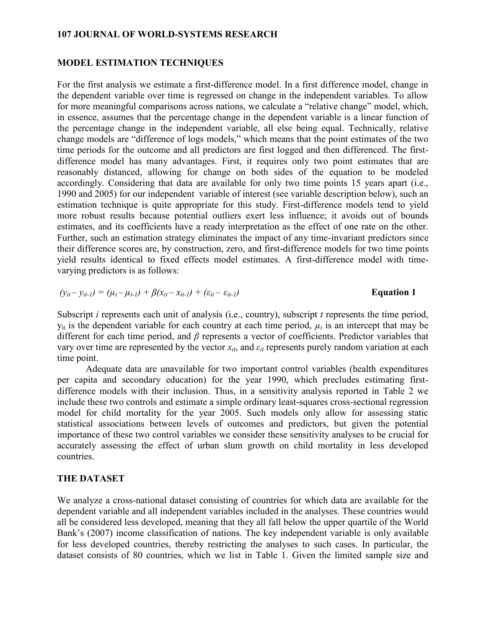#### **MODEL ESTIMATION TECHNIQUES**

For the first analysis we estimate a first-difference model. In a first difference model, change in the dependent variable over time is regressed on change in the independent variables. To allow for more meaningful comparisons across nations, we calculate a "relative change" model, which, in essence, assumes that the percentage change in the dependent variable is a linear function of the percentage change in the independent variable, all else being equal. Technically, relative change models are "difference of logs models," which means that the point estimates of the two time periods for the outcome and all predictors are first logged and then differenced. The firstdifference model has many advantages. First, it requires only two point estimates that are reasonably distanced, allowing for change on both sides of the equation to be modeled accordingly. Considering that data are available for only two time points 15 years apart (i.e., 1990 and 2005) for our independent variable of interest (see variable description below), such an estimation technique is quite appropriate for this study. First-difference models tend to yield more robust results because potential outliers exert less influence; it avoids out of bounds estimates, and its coefficients have a ready interpretation as the effect of one rate on the other. Further, such an estimation strategy eliminates the impact of any time-invariant predictors since their difference scores are, by construction, zero, and first-difference models for two time points yield results identical to fixed effects model estimates. A first-difference model with timevarying predictors is as follows:

$$
(y_{it}-y_{it-l})=(\mu_t-\mu_{t-l})+\beta(x_{it}-x_{it-l})+(\varepsilon_{it}-\varepsilon_{it-l})
$$
 Equation 1

Subscript *i* represents each unit of analysis (i.e., country), subscript *t* represents the time period,  $y_{it}$  is the dependent variable for each country at each time period,  $\mu_t$  is an intercept that may be different for each time period, and *β* represents a vector of coefficients. Predictor variables that vary over time are represented by the vector  $x_{it}$ , and  $\varepsilon_{it}$  represents purely random variation at each time point.

 Adequate data are unavailable for two important control variables (health expenditures per capita and secondary education) for the year 1990, which precludes estimating firstdifference models with their inclusion. Thus, in a sensitivity analysis reported in Table 2 we include these two controls and estimate a simple ordinary least-squares cross-sectional regression model for child mortality for the year 2005. Such models only allow for assessing static statistical associations between levels of outcomes and predictors, but given the potential importance of these two control variables we consider these sensitivity analyses to be crucial for accurately assessing the effect of urban slum growth on child mortality in less developed countries.

#### **THE DATASET**

We analyze a cross-national dataset consisting of countries for which data are available for the dependent variable and all independent variables included in the analyses. These countries would all be considered less developed, meaning that they all fall below the upper quartile of the World Bank's (2007) income classification of nations. The key independent variable is only available for less developed countries, thereby restricting the analyses to such cases. In particular, the dataset consists of 80 countries, which we list in Table 1. Given the limited sample size and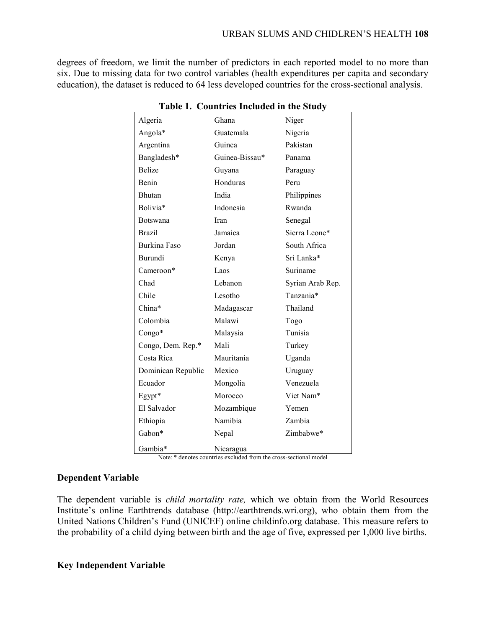degrees of freedom, we limit the number of predictors in each reported model to no more than six. Due to missing data for two control variables (health expenditures per capita and secondary education), the dataset is reduced to 64 less developed countries for the cross-sectional analysis.

| Algeria             | Ghana          | Niger            |
|---------------------|----------------|------------------|
| Angola*             | Guatemala      | Nigeria          |
| Argentina           | Guinea         | Pakistan         |
| Bangladesh*         | Guinea-Bissau* | Panama           |
| <b>Belize</b>       | Guyana         | Paraguay         |
| Benin               | Honduras       | Peru             |
| Bhutan              | India          | Philippines      |
| Bolivia*            | Indonesia      | Rwanda           |
| <b>Botswana</b>     | Iran           | Senegal          |
| <b>Brazil</b>       | Jamaica        | Sierra Leone*    |
| <b>Burkina Faso</b> | Jordan         | South Africa     |
| Burundi             | Kenya          | Sri Lanka*       |
| Cameroon*           | Laos           | Suriname         |
| Chad                | Lebanon        | Syrian Arab Rep. |
| Chile               | Lesotho        | Tanzania*        |
| China*              | Madagascar     | Thailand         |
| Colombia            | Malawi         | Togo             |
| Congo*              | Malaysia       | Tunisia          |
| Congo, Dem. Rep.*   | Mali           | Turkey           |
| Costa Rica          | Mauritania     | Uganda           |
| Dominican Republic  | Mexico         | Uruguay          |
| Ecuador             | Mongolia       | Venezuela        |
| Egypt*              | Morocco        | Viet Nam*        |
| El Salvador         | Mozambique     | Yemen            |
| Ethiopia            | Namibia        | Zambia           |
| Gabon*              | Nepal          | Zimbabwe*        |
| Gambia*             | Nicaragua      |                  |

**Table 1. Countries Included in the Study** 

Note: \* denotes countries excluded from the cross-sectional model

### **Dependent Variable**

The dependent variable is *child mortality rate,* which we obtain from the World Resources Institute's online Earthtrends database (http://earthtrends.wri.org), who obtain them from the United Nations Children's Fund (UNICEF) online childinfo.org database. This measure refers to the probability of a child dying between birth and the age of five, expressed per 1,000 live births.

#### **Key Independent Variable**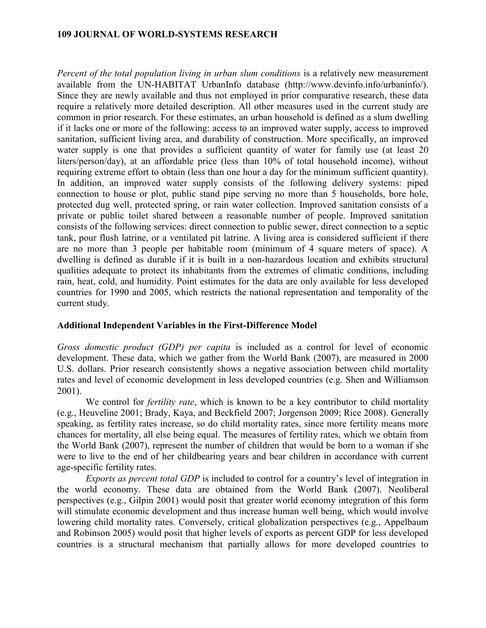*Percent of the total population living in urban slum conditions* is a relatively new measurement available from the UN-HABITAT UrbanInfo database (http://www.devinfo.info/urbaninfo/). Since they are newly available and thus not employed in prior comparative research, these data require a relatively more detailed description. All other measures used in the current study are common in prior research. For these estimates, an urban household is defined as a slum dwelling if it lacks one or more of the following: access to an improved water supply, access to improved sanitation, sufficient living area, and durability of construction. More specifically, an improved water supply is one that provides a sufficient quantity of water for family use (at least 20) liters/person/day), at an affordable price (less than 10% of total household income), without requiring extreme effort to obtain (less than one hour a day for the minimum sufficient quantity). In addition, an improved water supply consists of the following delivery systems: piped connection to house or plot, public stand pipe serving no more than 5 households, bore hole, protected dug well, protected spring, or rain water collection. Improved sanitation consists of a private or public toilet shared between a reasonable number of people. Improved sanitation consists of the following services: direct connection to public sewer, direct connection to a septic tank, pour flush latrine, or a ventilated pit latrine. A living area is considered sufficient if there are no more than 3 people per habitable room (minimum of 4 square meters of space). A dwelling is defined as durable if it is built in a non-hazardous location and exhibits structural qualities adequate to protect its inhabitants from the extremes of climatic conditions, including rain, heat, cold, and humidity. Point estimates for the data are only available for less developed countries for 1990 and 2005, which restricts the national representation and temporality of the current study.

#### **Additional Independent Variables in the First-Difference Model**

*Gross domestic product (GDP) per capita* is included as a control for level of economic development. These data, which we gather from the World Bank (2007), are measured in 2000 U.S. dollars. Prior research consistently shows a negative association between child mortality rates and level of economic development in less developed countries (e.g. Shen and Williamson 2001).

We control for *fertility rate*, which is known to be a key contributor to child mortality (e.g., Heuveline 2001; Brady, Kaya, and Beckfield 2007; Jorgenson 2009; Rice 2008). Generally speaking, as fertility rates increase, so do child mortality rates, since more fertility means more chances for mortality, all else being equal. The measures of fertility rates, which we obtain from the World Bank (2007), represent the number of children that would be born to a woman if she were to live to the end of her childbearing years and bear children in accordance with current age-specific fertility rates.

*Exports as percent total GDP* is included to control for a country's level of integration in the world economy. These data are obtained from the World Bank (2007). Neoliberal perspectives (e.g., Gilpin 2001) would posit that greater world economy integration of this form will stimulate economic development and thus increase human well being, which would involve lowering child mortality rates. Conversely, critical globalization perspectives (e.g., Appelbaum and Robinson 2005) would posit that higher levels of exports as percent GDP for less developed countries is a structural mechanism that partially allows for more developed countries to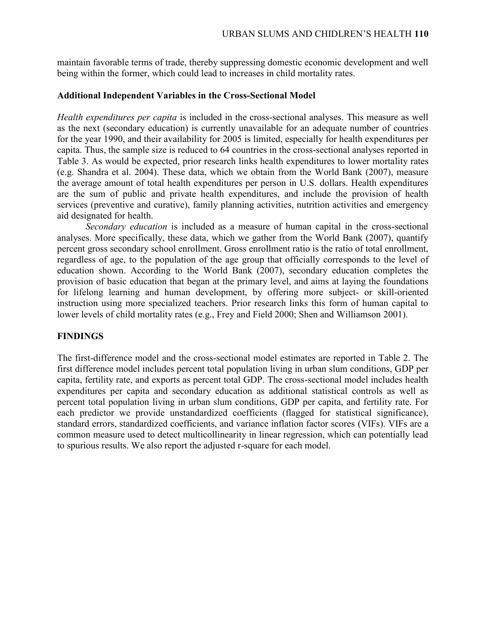maintain favorable terms of trade, thereby suppressing domestic economic development and well being within the former, which could lead to increases in child mortality rates.

#### **Additional Independent Variables in the Cross-Sectional Model**

*Health expenditures per capita* is included in the cross-sectional analyses. This measure as well as the next (secondary education) is currently unavailable for an adequate number of countries for the year 1990, and their availability for 2005 is limited, especially for health expenditures per capita. Thus, the sample size is reduced to 64 countries in the cross-sectional analyses reported in Table 3. As would be expected, prior research links health expenditures to lower mortality rates (e.g. Shandra et al. 2004). These data, which we obtain from the World Bank (2007), measure the average amount of total health expenditures per person in U.S. dollars. Health expenditures are the sum of public and private health expenditures, and include the provision of health services (preventive and curative), family planning activities, nutrition activities and emergency aid designated for health.

*Secondary education* is included as a measure of human capital in the cross-sectional analyses. More specifically, these data, which we gather from the World Bank (2007), quantify percent gross secondary school enrollment. Gross enrollment ratio is the ratio of total enrollment, regardless of age, to the population of the age group that officially corresponds to the level of education shown. According to the World Bank (2007), secondary education completes the provision of basic education that began at the primary level, and aims at laying the foundations for lifelong learning and human development, by offering more subject- or skill-oriented instruction using more specialized teachers. Prior research links this form of human capital to lower levels of child mortality rates (e.g., Frey and Field 2000; Shen and Williamson 2001).

### **FINDINGS**

The first-difference model and the cross-sectional model estimates are reported in Table 2. The first difference model includes percent total population living in urban slum conditions, GDP per capita, fertility rate, and exports as percent total GDP. The cross-sectional model includes health expenditures per capita and secondary education as additional statistical controls as well as percent total population living in urban slum conditions, GDP per capita, and fertility rate. For each predictor we provide unstandardized coefficients (flagged for statistical significance), standard errors, standardized coefficients, and variance inflation factor scores (VIFs). VIFs are a common measure used to detect multicollinearity in linear regression, which can potentially lead to spurious results. We also report the adjusted r-square for each model.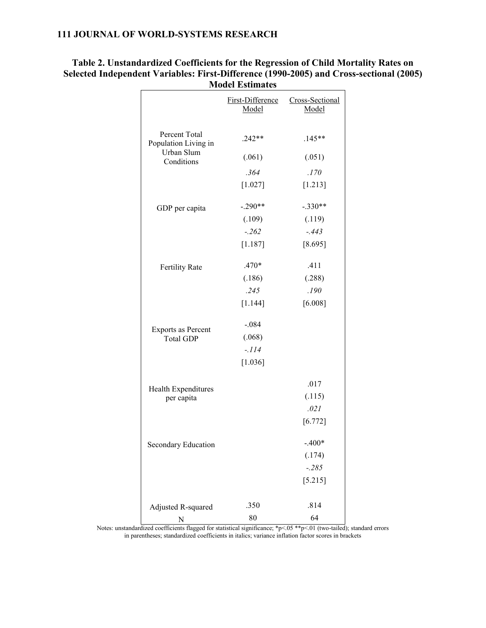|                                                                   | почат пришану |                                           |
|-------------------------------------------------------------------|---------------|-------------------------------------------|
|                                                                   | Model         | First-Difference Cross-Sectional<br>Model |
|                                                                   |               |                                           |
| Percent Total<br>Population Living in<br>Urban Slum<br>Conditions | $.242**$      | $.145**$                                  |
|                                                                   | (.061)        | (.051)                                    |
|                                                                   | .364          | .170                                      |
|                                                                   | $[1.027]$     | [1.213]                                   |
| GDP per capita                                                    | $-.290**$     | $-.330**$                                 |
|                                                                   | (.109)        | (.119)                                    |
|                                                                   | $-.262$       | $-.443$                                   |
|                                                                   | $[1.187]$     | [8.695]                                   |
| <b>Fertility Rate</b>                                             | .470*         | .411                                      |
|                                                                   | (.186)        | (.288)                                    |
|                                                                   | .245          | .190                                      |
|                                                                   | $[1.144]$     | [6.008]                                   |
| Exports as Percent<br><b>Total GDP</b>                            | $-.084$       |                                           |
|                                                                   | (.068)        |                                           |
|                                                                   | $-.114$       |                                           |
|                                                                   | [1.036]       |                                           |
| Health Expenditures<br>per capita                                 |               | .017                                      |
|                                                                   |               | (.115)                                    |
|                                                                   |               | .021                                      |
|                                                                   |               | [6.772]                                   |
| Secondary Education                                               |               | $-.400*$                                  |
|                                                                   |               | (.174)                                    |
|                                                                   |               | $-.285$                                   |
|                                                                   |               | [5.215]                                   |
| Adjusted R-squared                                                | .350          | .814                                      |
| N                                                                 | 80            | 64                                        |

## **Table 2. Unstandardized Coefficients for the Regression of Child Mortality Rates on Selected Independent Variables: First-Difference (1990-2005) and Cross-sectional (2005) Model Estimates**

Notes: unstandardized coefficients flagged for statistical significance; \*p<.05 \*\*p<.01 (two-tailed); standard errors in parentheses; standardized coefficients in italics; variance inflation factor scores in brackets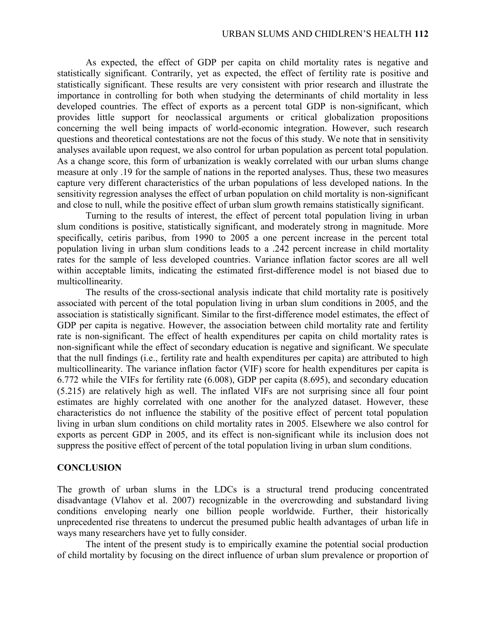As expected, the effect of GDP per capita on child mortality rates is negative and statistically significant. Contrarily, yet as expected, the effect of fertility rate is positive and statistically significant. These results are very consistent with prior research and illustrate the importance in controlling for both when studying the determinants of child mortality in less developed countries. The effect of exports as a percent total GDP is non-significant, which provides little support for neoclassical arguments or critical globalization propositions concerning the well being impacts of world-economic integration. However, such research questions and theoretical contestations are not the focus of this study. We note that in sensitivity analyses available upon request, we also control for urban population as percent total population. As a change score, this form of urbanization is weakly correlated with our urban slums change measure at only .19 for the sample of nations in the reported analyses. Thus, these two measures capture very different characteristics of the urban populations of less developed nations. In the sensitivity regression analyses the effect of urban population on child mortality is non-significant and close to null, while the positive effect of urban slum growth remains statistically significant.

Turning to the results of interest, the effect of percent total population living in urban slum conditions is positive, statistically significant, and moderately strong in magnitude. More specifically, cetiris paribus, from 1990 to 2005 a one percent increase in the percent total population living in urban slum conditions leads to a .242 percent increase in child mortality rates for the sample of less developed countries. Variance inflation factor scores are all well within acceptable limits, indicating the estimated first-difference model is not biased due to multicollinearity.

The results of the cross-sectional analysis indicate that child mortality rate is positively associated with percent of the total population living in urban slum conditions in 2005, and the association is statistically significant. Similar to the first-difference model estimates, the effect of GDP per capita is negative. However, the association between child mortality rate and fertility rate is non-significant. The effect of health expenditures per capita on child mortality rates is non-significant while the effect of secondary education is negative and significant. We speculate that the null findings (i.e., fertility rate and health expenditures per capita) are attributed to high multicollinearity. The variance inflation factor (VIF) score for health expenditures per capita is 6.772 while the VIFs for fertility rate (6.008), GDP per capita (8.695), and secondary education (5.215) are relatively high as well. The inflated VIFs are not surprising since all four point estimates are highly correlated with one another for the analyzed dataset. However, these characteristics do not influence the stability of the positive effect of percent total population living in urban slum conditions on child mortality rates in 2005. Elsewhere we also control for exports as percent GDP in 2005, and its effect is non-significant while its inclusion does not suppress the positive effect of percent of the total population living in urban slum conditions.

# **CONCLUSION**

The growth of urban slums in the LDCs is a structural trend producing concentrated disadvantage (Vlahov et al. 2007) recognizable in the overcrowding and substandard living conditions enveloping nearly one billion people worldwide. Further, their historically unprecedented rise threatens to undercut the presumed public health advantages of urban life in ways many researchers have yet to fully consider.

The intent of the present study is to empirically examine the potential social production of child mortality by focusing on the direct influence of urban slum prevalence or proportion of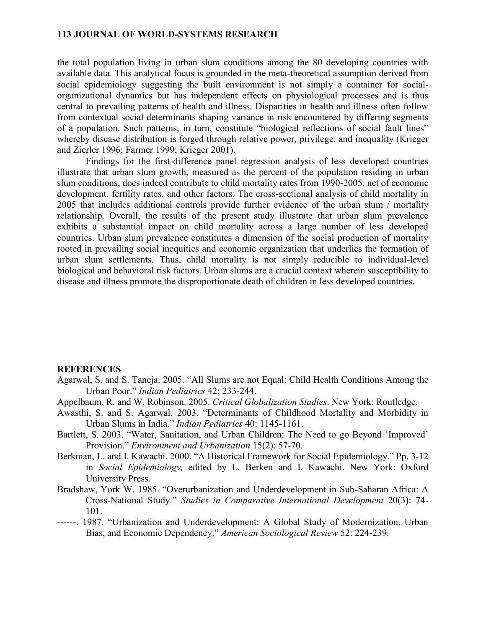the total population living in urban slum conditions among the 80 developing countries with available data. This analytical focus is grounded in the meta-theoretical assumption derived from social epidemiology suggesting the built environment is not simply a container for socialorganizational dynamics but has independent effects on physiological processes and is thus central to prevailing patterns of health and illness. Disparities in health and illness often follow from contextual social determinants shaping variance in risk encountered by differing segments of a population. Such patterns, in turn, constitute "biological reflections of social fault lines" whereby disease distribution is forged through relative power, privilege, and inequality (Krieger and Zierler 1996; Farmer 1999; Krieger 2001).

Findings for the first-difference panel regression analysis of less developed countries illustrate that urban slum growth, measured as the percent of the population residing in urban slum conditions, does indeed contribute to child mortality rates from 1990-2005, net of economic development, fertility rates, and other factors. The cross-sectional analysis of child mortality in 2005 that includes additional controls provide further evidence of the urban slum / mortality relationship. Overall, the results of the present study illustrate that urban slum prevalence exhibits a substantial impact on child mortality across a large number of less developed countries. Urban slum prevalence constitutes a dimension of the social production of mortality rooted in prevailing social inequities and economic organization that underlies the formation of urban slum settlements. Thus, child mortality is not simply reducible to individual-level biological and behavioral risk factors. Urban slums are a crucial context wherein susceptibility to disease and illness promote the disproportionate death of children in less developed countries.

#### **REFERENCES**

- Agarwal, S. and S. Taneja. 2005. "All Slums are not Equal: Child Health Conditions Among the Urban Poor." *Indian Pediatrics* 42: 233-244.
- Appelbaum, R. and W. Robinson. 2005. *Critical Globalization Studies*. New York: Routledge.
- Awasthi, S. and S. Agarwal. 2003. "Determinants of Childhood Mortality and Morbidity in Urban Slums in India." *Indian Pediatrics* 40: 1145-1161.
- Bartlett, S. 2003. "Water, Sanitation, and Urban Children: The Need to go Beyond 'Improved' Provision." *Environment and Urbanization* 15(2): 57-70.
- Berkman, L. and I. Kawachi. 2000. "A Historical Framework for Social Epidemiology." Pp. 3-12 in *Social Epidemiology,* edited by L. Berken and I. Kawachi. New York: Oxford University Press.
- Bradshaw, York W. 1985. "Overurbanization and Underdevelopment in Sub-Saharan Africa: A Cross-National Study." *Studies in Comparative International Development* 20(3): 74- 101.
- ------. 1987. "Urbanization and Underdevelopment: A Global Study of Modernization, Urban Bias, and Economic Dependency." *American Sociological Review* 52: 224-239.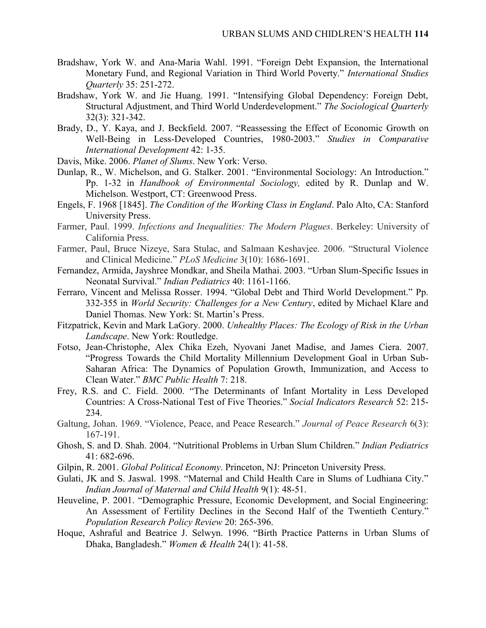- Bradshaw, York W. and Ana-Maria Wahl. 1991. "Foreign Debt Expansion, the International Monetary Fund, and Regional Variation in Third World Poverty." *International Studies Quarterly* 35: 251-272.
- Bradshaw, York W. and Jie Huang. 1991. "Intensifying Global Dependency: Foreign Debt, Structural Adjustment, and Third World Underdevelopment." *The Sociological Quarterly* 32(3): 321-342.
- Brady, D., Y. Kaya, and J. Beckfield. 2007. "Reassessing the Effect of Economic Growth on Well-Being in Less-Developed Countries, 1980-2003." *Studies in Comparative International Development* 42: 1-35.
- Davis, Mike. 2006. *Planet of Slums*. New York: Verso.
- Dunlap, R., W. Michelson, and G. Stalker. 2001. "Environmental Sociology: An Introduction." Pp. 1-32 in *Handbook of Environmental Sociology,* edited by R. Dunlap and W. Michelson. Westport, CT: Greenwood Press.
- Engels, F. 1968 [1845]. *The Condition of the Working Class in England*. Palo Alto, CA: Stanford University Press.
- Farmer, Paul. 1999. *Infections and Inequalities: The Modern Plagues*. Berkeley: University of California Press.
- Farmer, Paul, Bruce Nizeye, Sara Stulac, and Salmaan Keshavjee. 2006. "Structural Violence and Clinical Medicine." *PLoS Medicine* 3(10): 1686-1691.
- Fernandez, Armida, Jayshree Mondkar, and Sheila Mathai. 2003. "Urban Slum-Specific Issues in Neonatal Survival." *Indian Pediatrics* 40: 1161-1166.
- Ferraro, Vincent and Melissa Rosser. 1994. "Global Debt and Third World Development." Pp. 332-355 in *World Security: Challenges for a New Century*, edited by Michael Klare and Daniel Thomas. New York: St. Martin's Press.
- Fitzpatrick, Kevin and Mark LaGory. 2000. *Unhealthy Places: The Ecology of Risk in the Urban Landscape*. New York: Routledge.
- Fotso, Jean-Christophe, Alex Chika Ezeh, Nyovani Janet Madise, and James Ciera. 2007. "Progress Towards the Child Mortality Millennium Development Goal in Urban Sub-Saharan Africa: The Dynamics of Population Growth, Immunization, and Access to Clean Water." *BMC Public Health* 7: 218.
- Frey, R.S. and C. Field. 2000. "The Determinants of Infant Mortality in Less Developed Countries: A Cross-National Test of Five Theories." *Social Indicators Research* 52: 215- 234.
- Galtung, Johan. 1969. "Violence, Peace, and Peace Research." *Journal of Peace Research* 6(3): 167-191.
- Ghosh, S. and D. Shah. 2004. "Nutritional Problems in Urban Slum Children." *Indian Pediatrics* 41: 682-696.
- Gilpin, R. 2001. *Global Political Economy*. Princeton, NJ: Princeton University Press.
- Gulati, JK and S. Jaswal. 1998. "Maternal and Child Health Care in Slums of Ludhiana City." *Indian Journal of Maternal and Child Health* 9(1): 48-51.
- Heuveline, P. 2001. "Demographic Pressure, Economic Development, and Social Engineering: An Assessment of Fertility Declines in the Second Half of the Twentieth Century." *Population Research Policy Review* 20: 265-396.
- Hoque, Ashraful and Beatrice J. Selwyn. 1996. "Birth Practice Patterns in Urban Slums of Dhaka, Bangladesh." *Women & Health* 24(1): 41-58.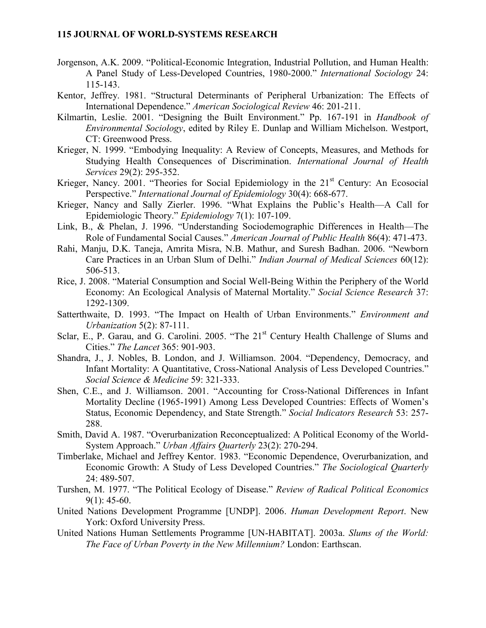- Jorgenson, A.K. 2009. "Political-Economic Integration, Industrial Pollution, and Human Health: A Panel Study of Less-Developed Countries, 1980-2000." *International Sociology* 24: 115-143.
- Kentor, Jeffrey. 1981. "Structural Determinants of Peripheral Urbanization: The Effects of International Dependence." *American Sociological Review* 46: 201-211.
- Kilmartin, Leslie. 2001. "Designing the Built Environment." Pp. 167-191 in *Handbook of Environmental Sociology*, edited by Riley E. Dunlap and William Michelson. Westport, CT: Greenwood Press.
- Krieger, N. 1999. "Embodying Inequality: A Review of Concepts, Measures, and Methods for Studying Health Consequences of Discrimination. *International Journal of Health Services* 29(2): 295-352.
- Krieger, Nancy. 2001. "Theories for Social Epidemiology in the  $21<sup>st</sup>$  Century: An Ecosocial Perspective." *International Journal of Epidemiology* 30(4): 668-677.
- Krieger, Nancy and Sally Zierler. 1996. "What Explains the Public's Health—A Call for Epidemiologic Theory." *Epidemiology* 7(1): 107-109.
- Link, B., & Phelan, J. 1996. "Understanding Sociodemographic Differences in Health—The Role of Fundamental Social Causes." *American Journal of Public Health* 86(4): 471-473.
- Rahi, Manju, D.K. Taneja, Amrita Misra, N.B. Mathur, and Suresh Badhan. 2006. "Newborn Care Practices in an Urban Slum of Delhi." *Indian Journal of Medical Sciences* 60(12): 506-513.
- Rice, J. 2008. "Material Consumption and Social Well-Being Within the Periphery of the World Economy: An Ecological Analysis of Maternal Mortality." *Social Science Research* 37: 1292-1309.
- Satterthwaite, D. 1993. "The Impact on Health of Urban Environments." *Environment and Urbanization* 5(2): 87-111.
- Sclar, E., P. Garau, and G. Carolini. 2005. "The  $21<sup>st</sup>$  Century Health Challenge of Slums and Cities." *The Lancet* 365: 901-903.
- Shandra, J., J. Nobles, B. London, and J. Williamson. 2004. "Dependency, Democracy, and Infant Mortality: A Quantitative, Cross-National Analysis of Less Developed Countries." *Social Science & Medicine* 59: 321-333.
- Shen, C.E., and J. Williamson. 2001. "Accounting for Cross-National Differences in Infant Mortality Decline (1965-1991) Among Less Developed Countries: Effects of Women's Status, Economic Dependency, and State Strength." *Social Indicators Research* 53: 257- 288.
- Smith, David A. 1987. "Overurbanization Reconceptualized: A Political Economy of the World-System Approach." *Urban Affairs Quarterly* 23(2): 270-294.
- Timberlake, Michael and Jeffrey Kentor. 1983. "Economic Dependence, Overurbanization, and Economic Growth: A Study of Less Developed Countries." *The Sociological Quarterly* 24: 489-507.
- Turshen, M. 1977. "The Political Ecology of Disease." *Review of Radical Political Economics*  $9(1)$ : 45-60.
- United Nations Development Programme [UNDP]. 2006. *Human Development Report*. New York: Oxford University Press.
- United Nations Human Settlements Programme [UN-HABITAT]. 2003a. *Slums of the World: The Face of Urban Poverty in the New Millennium?* London: Earthscan.